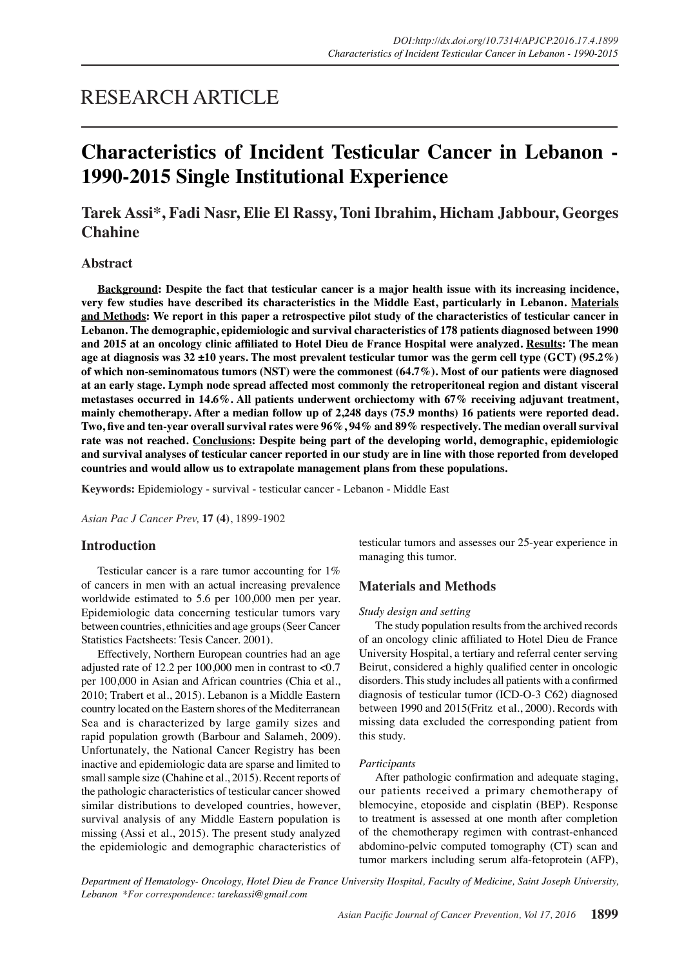# RESEARCH ARTICLE

# **Characteristics of Incident Testicular Cancer in Lebanon - 1990-2015 Single Institutional Experience**

# **Tarek Assi\*, Fadi Nasr, Elie El Rassy, Toni Ibrahim, Hicham Jabbour, Georges Chahine**

# **Abstract**

**Background: Despite the fact that testicular cancer is a major health issue with its increasing incidence, very few studies have described its characteristics in the Middle East, particularly in Lebanon. Materials and Methods: We report in this paper a retrospective pilot study of the characteristics of testicular cancer in Lebanon. The demographic, epidemiologic and survival characteristics of 178 patients diagnosed between 1990 and 2015 at an oncology clinic affiliated to Hotel Dieu de France Hospital were analyzed. Results: The mean age at diagnosis was 32 ±10 years. The most prevalent testicular tumor was the germ cell type (GCT) (95.2%) of which non-seminomatous tumors (NST) were the commonest (64.7%). Most of our patients were diagnosed at an early stage. Lymph node spread affected most commonly the retroperitoneal region and distant visceral metastases occurred in 14.6%. All patients underwent orchiectomy with 67% receiving adjuvant treatment, mainly chemotherapy. After a median follow up of 2,248 days (75.9 months) 16 patients were reported dead. Two, five and ten-year overall survival rates were 96%, 94% and 89% respectively. The median overall survival rate was not reached. Conclusions: Despite being part of the developing world, demographic, epidemiologic and survival analyses of testicular cancer reported in our study are in line with those reported from developed countries and would allow us to extrapolate management plans from these populations.**

**Keywords:** Epidemiology - survival - testicular cancer - Lebanon - Middle East

*Asian Pac J Cancer Prev,* **17 (4)**, 1899-1902

# **Introduction**

Testicular cancer is a rare tumor accounting for 1% of cancers in men with an actual increasing prevalence worldwide estimated to 5.6 per 100,000 men per year. Epidemiologic data concerning testicular tumors vary between countries, ethnicities and age groups (Seer Cancer Statistics Factsheets: Tesis Cancer. 2001).

Effectively, Northern European countries had an age adjusted rate of 12.2 per 100,000 men in contrast to <0.7 per 100,000 in Asian and African countries (Chia et al., 2010; Trabert et al., 2015). Lebanon is a Middle Eastern country located on the Eastern shores of the Mediterranean Sea and is characterized by large gamily sizes and rapid population growth (Barbour and Salameh, 2009). Unfortunately, the National Cancer Registry has been inactive and epidemiologic data are sparse and limited to small sample size (Chahine et al., 2015). Recent reports of the pathologic characteristics of testicular cancer showed similar distributions to developed countries, however, survival analysis of any Middle Eastern population is missing (Assi et al., 2015). The present study analyzed the epidemiologic and demographic characteristics of testicular tumors and assesses our 25-year experience in managing this tumor.

# **Materials and Methods**

#### *Study design and setting*

The study population results from the archived records of an oncology clinic affiliated to Hotel Dieu de France University Hospital, a tertiary and referral center serving Beirut, considered a highly qualified center in oncologic disorders. This study includes all patients with a confirmed diagnosis of testicular tumor (ICD-O-3 C62) diagnosed between 1990 and 2015(Fritz et al., 2000). Records with missing data excluded the corresponding patient from this study.

#### *Participants*

After pathologic confirmation and adequate staging, our patients received a primary chemotherapy of blemocyine, etoposide and cisplatin (BEP). Response to treatment is assessed at one month after completion of the chemotherapy regimen with contrast-enhanced abdomino-pelvic computed tomography (CT) scan and tumor markers including serum alfa-fetoprotein (AFP),

*Department of Hematology- Oncology, Hotel Dieu de France University Hospital, Faculty of Medicine, Saint Joseph University, Lebanon \*For correspondence: tarekassi@gmail.com*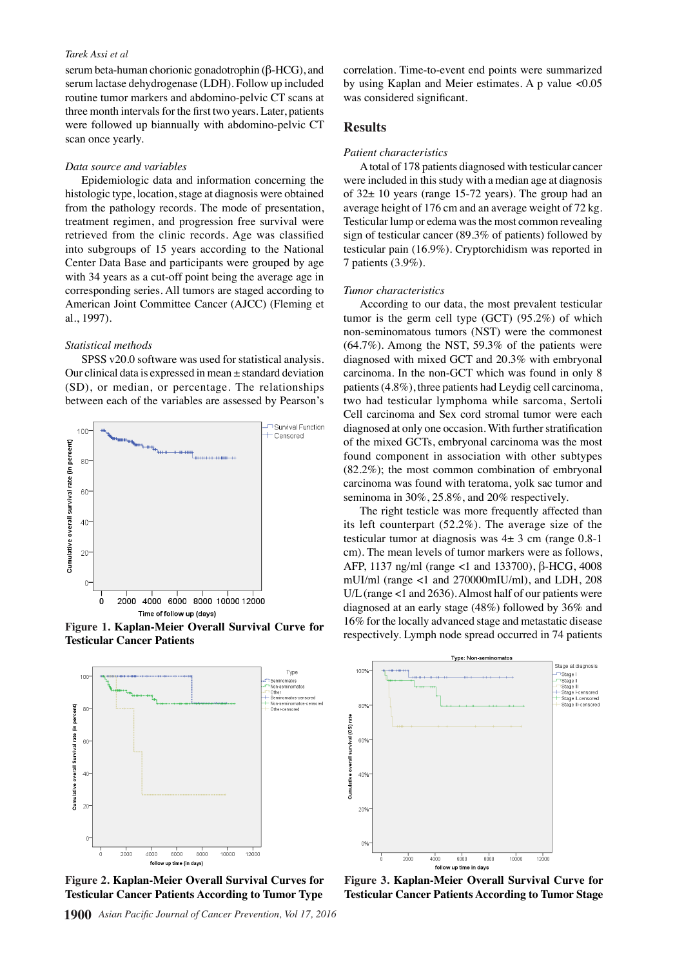#### *Tarek Assi et al*

serum beta-human chorionic gonadotrophin (β-HCG), and serum lactase dehydrogenase (LDH). Follow up included routine tumor markers and abdomino-pelvic CT scans at three month intervals for the first two years. Later, patients were followed up biannually with abdomino-pelvic CT scan once yearly.

#### *Data source and variables*

Epidemiologic data and information concerning the histologic type, location, stage at diagnosis were obtained from the pathology records. The mode of presentation, treatment regimen, and progression free survival were retrieved from the clinic records. Age was classified into subgroups of 15 years according to the National Center Data Base and participants were grouped by age with 34 years as a cut-off point being the average age in corresponding series. All tumors are staged according to American Joint Committee Cancer (AJCC) (Fleming et al., 1997).

# *Statistical methods*

SPSS v20.0 software was used for statistical analysis. Our clinical data is expressed in mean  $\pm$  standard deviation (SD), or median, or percentage. The relationships between each of the variables are assessed by Pearson's



Figure 1. Kaplan-Meier Overall Survival Curve for<br>
respectively. Lymph node spread occurred in 74 patients<br>
Figure 1. *Kaplan-Meier Overall Survival Curve for*<br>
respectively. Lymph node spread occurred in 74 patients **Testicular Cancer Patients**



**Figure 2. Kaplan-Meier Overall Survival Curves for Testicular Cancer Patients According to Tumor Type**

**1900** *Asian Pacific Journal of Cancer Prevention, Vol 17, 2016*

correlation. Time-to-event end points were summarized by using Kaplan and Meier estimates. A p value <0.05 was considered significant.

#### **Results**

#### *Patient characteristics*

A total of 178 patients diagnosed with testicular cancer were included in this study with a median age at diagnosis of 32± 10 years (range 15-72 years). The group had an average height of 176 cm and an average weight of 72 kg. Testicular lump or edema was the most common revealing sign of testicular cancer (89.3% of patients) followed by testicular pain (16.9%). Cryptorchidism was reported in 7 patients (3.9%).

#### *Tumor characteristics*

According to our data, the most prevalent testicular tumor is the germ cell type (GCT) (95.2%) of which non-seminomatous tumors (NST) were the commonest (64.7%). Among the NST, 59.3% of the patients were diagnosed with mixed GCT and 20.3% with embryonal carcinoma. In the non-GCT which was found in only 8 patients (4.8%), three patients had Leydig cell carcinoma, two had testicular lymphoma while sarcoma, Sertoli Cell carcinoma and Sex cord stromal tumor were each diagnosed at only one occasion. With further stratification of the mixed GCTs, embryonal carcinoma was the most found component in association with other subtypes (82.2%); the most common combination of embryonal carcinoma was found with teratoma, yolk sac tumor and seminoma in 30%, 25.8%, and 20% respectively.

The right testicle was more frequently affected than its left counterpart (52.2%). The average size of the testicular tumor at diagnosis was 4± 3 cm (range 0.8-1 cm). The mean levels of tumor markers were as follows, AFP, 1137 ng/ml (range <1 and 133700), β-HCG, 4008 mUI/ml (range <1 and 270000mIU/ml), and LDH, 208 U/L (range <1 and 2636). Almost half of our patients were diagnosed at an early stage (48%) followed by 36% and 16% for the locally advanced stage and metastatic disease



**Figure 3. Kaplan-Meier Overall Survival Curve for Testicular Cancer Patients According to Tumor Stage**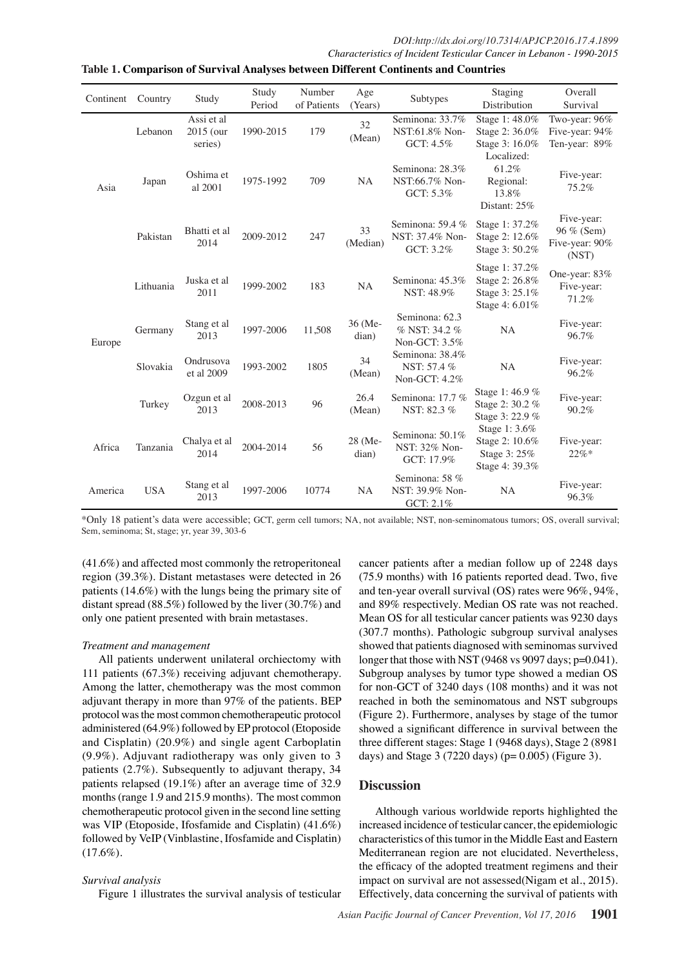| Continent | Country    | Study                                | Study<br>Period | Number<br>of Patients | Age<br>(Years)   | Subtypes                                         | Staging<br>Distribution                                              | Overall<br>Survival                                 |
|-----------|------------|--------------------------------------|-----------------|-----------------------|------------------|--------------------------------------------------|----------------------------------------------------------------------|-----------------------------------------------------|
| Asia      | Lebanon    | Assi et al<br>$2015$ (our<br>series) | 1990-2015       | 179                   | 32<br>(Mean)     | Seminona: 33.7%<br>NST:61.8% Non-<br>GCT: 4.5%   | Stage 1:48.0%<br>Stage 2: 36.0%<br>Stage 3: 16.0%<br>Localized:      | Two-year: 96%<br>Five-year: 94%<br>Ten-year: 89%    |
|           | Japan      | Oshima et<br>al 2001                 | 1975-1992       | 709                   | <b>NA</b>        | Seminona: 28.3%<br>NST:66.7% Non-<br>GCT: 5.3%   | 61.2%<br>Regional:<br>13.8%<br>Distant: 25%                          | Five-year:<br>75.2%                                 |
|           | Pakistan   | Bhatti et al<br>2014                 | 2009-2012       | 247                   | 33<br>(Median)   | Seminona: 59.4 %<br>NST: 37.4% Non-<br>GCT: 3.2% | Stage 1: 37.2%<br>Stage 2: 12.6%<br>Stage 3: 50.2%                   | Five-year:<br>96 % (Sem)<br>Five-year: 90%<br>(NST) |
| Europe    | Lithuania  | Juska et al<br>2011                  | 1999-2002       | 183                   | <b>NA</b>        | Seminona: 45.3%<br>NST: 48.9%                    | Stage 1: 37.2%<br>Stage 2: 26.8%<br>Stage 3: 25.1%<br>Stage 4: 6.01% | One-year: 83%<br>Five-year:<br>71.2%                |
|           | Germany    | Stang et al<br>2013                  | 1997-2006       | 11,508                | 36 (Me-<br>dian) | Seminona: 62.3<br>% NST: 34.2 %<br>Non-GCT: 3.5% | <b>NA</b>                                                            | Five-year:<br>96.7%                                 |
|           | Slovakia   | Ondrusova<br>et al 2009              | 1993-2002       | 1805                  | 34<br>(Mean)     | Seminona: 38.4%<br>NST: 57.4 %<br>Non-GCT: 4.2%  | <b>NA</b>                                                            | Five-year:<br>96.2%                                 |
|           | Turkey     | Ozgun et al<br>2013                  | 2008-2013       | 96                    | 26.4<br>(Mean)   | Seminona: 17.7 %<br>NST: 82.3 %                  | Stage 1:46.9 %<br>Stage 2: 30.2 %<br>Stage 3: 22.9 %                 | Five-year:<br>90.2%                                 |
| Africa    | Tanzania   | Chalya et al<br>2014                 | 2004-2014       | 56                    | 28 (Me-<br>dian) | Seminona: 50.1%<br>NST: 32% Non-<br>GCT: 17.9%   | Stage 1: 3.6%<br>Stage 2: 10.6%<br>Stage 3: 25%<br>Stage 4: 39.3%    | Five-year:<br>$22\%*$                               |
| America   | <b>USA</b> | Stang et al<br>2013                  | 1997-2006       | 10774                 | <b>NA</b>        | Seminona: 58 %<br>NST: 39.9% Non-<br>GCT: 2.1%   | <b>NA</b>                                                            | Five-year:<br>96.3%                                 |

**Table 1. Comparison of Survival Analyses between Different Continents and Countries**

\*Only 18 patient's data were accessible; GCT, germ cell tumors; NA, not available; NST, non-seminomatous tumors; OS, overall survival; Sem, seminoma; St, stage; yr, year 39, 303-6

(41.6%) and affected most commonly the retroperitoneal region (39.3%). Distant metastases were detected in 26 patients (14.6%) with the lungs being the primary site of distant spread (88.5%) followed by the liver (30.7%) and only one patient presented with brain metastases.

### *Treatment and management*

All patients underwent unilateral orchiectomy with 111 patients (67.3%) receiving adjuvant chemotherapy. Among the latter, chemotherapy was the most common adjuvant therapy in more than 97% of the patients. BEP protocol was the most common chemotherapeutic protocol administered (64.9%) followed by EP protocol (Etoposide and Cisplatin) (20.9%) and single agent Carboplatin (9.9%). Adjuvant radiotherapy was only given to 3 patients (2.7%). Subsequently to adjuvant therapy, 34 patients relapsed (19.1%) after an average time of 32.9 months (range 1.9 and 215.9 months). The most common chemotherapeutic protocol given in the second line setting was VIP (Etoposide, Ifosfamide and Cisplatin) (41.6%) followed by VeIP (Vinblastine, Ifosfamide and Cisplatin)  $(17.6\%).$ 

# *Survival analysis*

Figure 1 illustrates the survival analysis of testicular

cancer patients after a median follow up of 2248 days (75.9 months) with 16 patients reported dead. Two, five and ten-year overall survival (OS) rates were 96%, 94%, and 89% respectively. Median OS rate was not reached. Mean OS for all testicular cancer patients was 9230 days (307.7 months). Pathologic subgroup survival analyses showed that patients diagnosed with seminomas survived longer that those with NST (9468 vs 9097 days; p=0.041). Subgroup analyses by tumor type showed a median OS for non-GCT of 3240 days (108 months) and it was not reached in both the seminomatous and NST subgroups (Figure 2). Furthermore, analyses by stage of the tumor showed a significant difference in survival between the three different stages: Stage 1 (9468 days), Stage 2 (8981 days) and Stage 3 (7220 days) ( $p= 0.005$ ) (Figure 3).

# **Discussion**

Although various worldwide reports highlighted the increased incidence of testicular cancer, the epidemiologic characteristics of this tumor in the Middle East and Eastern Mediterranean region are not elucidated. Nevertheless, the efficacy of the adopted treatment regimens and their impact on survival are not assessed(Nigam et al., 2015). Effectively, data concerning the survival of patients with